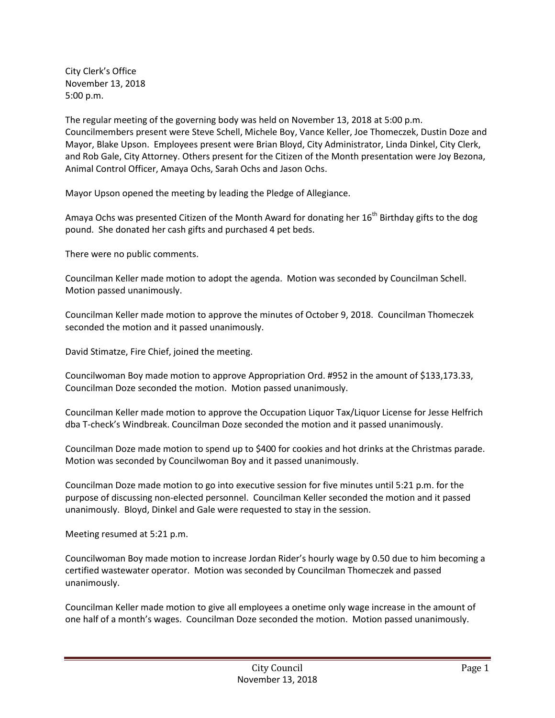City Clerk's Office November 13, 2018 5:00 p.m.

The regular meeting of the governing body was held on November 13, 2018 at 5:00 p.m. Councilmembers present were Steve Schell, Michele Boy, Vance Keller, Joe Thomeczek, Dustin Doze and Mayor, Blake Upson. Employees present were Brian Bloyd, City Administrator, Linda Dinkel, City Clerk, and Rob Gale, City Attorney. Others present for the Citizen of the Month presentation were Joy Bezona, Animal Control Officer, Amaya Ochs, Sarah Ochs and Jason Ochs.

Mayor Upson opened the meeting by leading the Pledge of Allegiance.

Amaya Ochs was presented Citizen of the Month Award for donating her 16<sup>th</sup> Birthday gifts to the dog pound. She donated her cash gifts and purchased 4 pet beds.

There were no public comments.

Councilman Keller made motion to adopt the agenda. Motion was seconded by Councilman Schell. Motion passed unanimously.

Councilman Keller made motion to approve the minutes of October 9, 2018. Councilman Thomeczek seconded the motion and it passed unanimously.

David Stimatze, Fire Chief, joined the meeting.

Councilwoman Boy made motion to approve Appropriation Ord. #952 in the amount of \$133,173.33, Councilman Doze seconded the motion. Motion passed unanimously.

Councilman Keller made motion to approve the Occupation Liquor Tax/Liquor License for Jesse Helfrich dba T-check's Windbreak. Councilman Doze seconded the motion and it passed unanimously.

Councilman Doze made motion to spend up to \$400 for cookies and hot drinks at the Christmas parade. Motion was seconded by Councilwoman Boy and it passed unanimously.

Councilman Doze made motion to go into executive session for five minutes until 5:21 p.m. for the purpose of discussing non-elected personnel. Councilman Keller seconded the motion and it passed unanimously. Bloyd, Dinkel and Gale were requested to stay in the session.

Meeting resumed at 5:21 p.m.

Councilwoman Boy made motion to increase Jordan Rider's hourly wage by 0.50 due to him becoming a certified wastewater operator. Motion was seconded by Councilman Thomeczek and passed unanimously.

Councilman Keller made motion to give all employees a onetime only wage increase in the amount of one half of a month's wages. Councilman Doze seconded the motion. Motion passed unanimously.